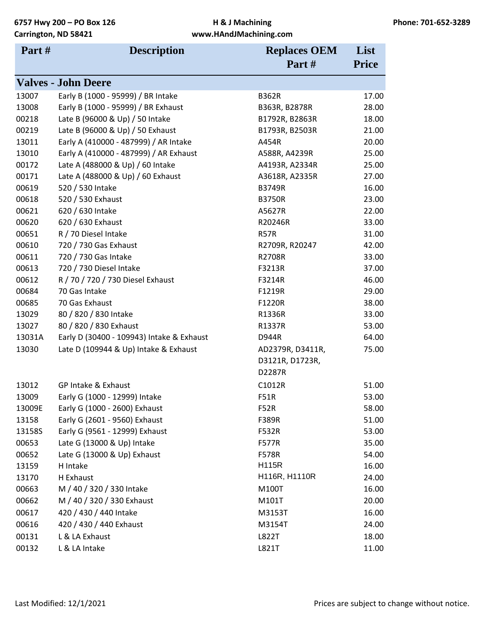| Part#  | <b>Description</b><br><b>Replaces OEM</b> |                  | List         |
|--------|-------------------------------------------|------------------|--------------|
|        |                                           | Part#            | <b>Price</b> |
|        | <b>Valves - John Deere</b>                |                  |              |
| 13007  | Early B (1000 - 95999) / BR Intake        | <b>B362R</b>     | 17.00        |
| 13008  | Early B (1000 - 95999) / BR Exhaust       | B363R, B2878R    | 28.00        |
| 00218  | Late B (96000 & Up) / 50 Intake           | B1792R, B2863R   | 18.00        |
| 00219  | Late B (96000 & Up) / 50 Exhaust          | B1793R, B2503R   | 21.00        |
| 13011  | Early A (410000 - 487999) / AR Intake     | A454R            | 20.00        |
| 13010  | Early A (410000 - 487999) / AR Exhaust    | A588R, A4239R    | 25.00        |
| 00172  | Late A (488000 & Up) / 60 Intake          | A4193R, A2334R   | 25.00        |
| 00171  | Late A (488000 & Up) / 60 Exhaust         | A3618R, A2335R   | 27.00        |
| 00619  | 520 / 530 Intake                          | <b>B3749R</b>    | 16.00        |
| 00618  | 520 / 530 Exhaust                         | <b>B3750R</b>    | 23.00        |
| 00621  | 620 / 630 Intake                          | A5627R           | 22.00        |
| 00620  | 620 / 630 Exhaust                         | R20246R          | 33.00        |
| 00651  | R / 70 Diesel Intake                      | <b>R57R</b>      | 31.00        |
| 00610  | 720 / 730 Gas Exhaust                     | R2709R, R20247   | 42.00        |
| 00611  | 720 / 730 Gas Intake                      | <b>R2708R</b>    | 33.00        |
| 00613  | 720 / 730 Diesel Intake                   | F3213R           | 37.00        |
| 00612  | R / 70 / 720 / 730 Diesel Exhaust         | F3214R           | 46.00        |
| 00684  | 70 Gas Intake                             | F1219R           | 29.00        |
| 00685  | 70 Gas Exhaust                            | F1220R           | 38.00        |
| 13029  | 80 / 820 / 830 Intake                     | R1336R           | 33.00        |
| 13027  | 80 / 820 / 830 Exhaust                    | R1337R           | 53.00        |
| 13031A | Early D (30400 - 109943) Intake & Exhaust | D944R            | 64.00        |
| 13030  | Late D (109944 & Up) Intake & Exhaust     | AD2379R, D3411R, | 75.00        |
|        |                                           | D3121R, D1723R,  |              |
|        |                                           | D2287R           |              |
| 13012  | GP Intake & Exhaust                       | C1012R           | 51.00        |
| 13009  | Early G (1000 - 12999) Intake             | <b>F51R</b>      | 53.00        |
| 13009E | Early G (1000 - 2600) Exhaust             | F52R             | 58.00        |
| 13158  | Early G (2601 - 9560) Exhaust             | F389R            | 51.00        |
| 13158S | Early G (9561 - 12999) Exhaust            | F532R            | 53.00        |
| 00653  | Late G (13000 & Up) Intake                | <b>F577R</b>     | 35.00        |
| 00652  | Late G (13000 & Up) Exhaust               | <b>F578R</b>     | 54.00        |
| 13159  | H Intake                                  | <b>H115R</b>     | 16.00        |
| 13170  | H Exhaust                                 | H116R, H1110R    | 24.00        |
| 00663  | M / 40 / 320 / 330 Intake                 | M100T            | 16.00        |
| 00662  | M / 40 / 320 / 330 Exhaust                | M101T            | 20.00        |
| 00617  | 420 / 430 / 440 Intake                    | M3153T           | 16.00        |
| 00616  | 420 / 430 / 440 Exhaust                   | M3154T           | 24.00        |
| 00131  | L & LA Exhaust                            | L822T            | 18.00        |
| 00132  | L & LA Intake                             | L821T            | 11.00        |
|        |                                           |                  |              |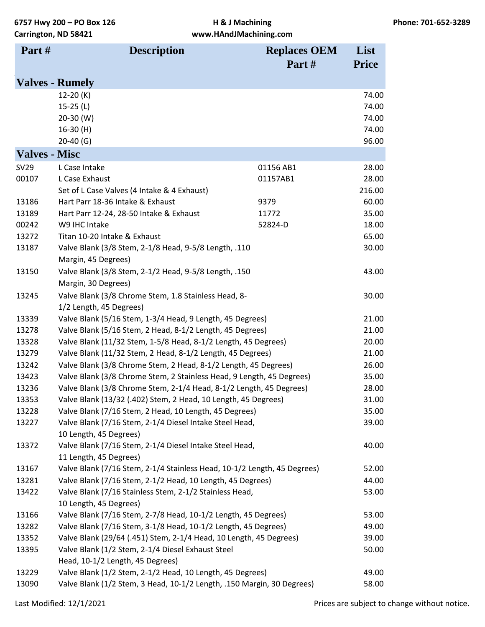| Part#                | <b>Description</b>                                                       | <b>Replaces OEM</b> | List         |
|----------------------|--------------------------------------------------------------------------|---------------------|--------------|
|                      |                                                                          | Part#               | <b>Price</b> |
|                      | <b>Valves - Rumely</b>                                                   |                     |              |
|                      | $12-20(K)$                                                               |                     | 74.00        |
|                      | 15-25 $(L)$                                                              |                     | 74.00        |
|                      | $20-30$ (W)                                                              |                     | 74.00        |
|                      | $16-30(H)$                                                               |                     | 74.00        |
|                      | $20-40$ (G)                                                              |                     | 96.00        |
| <b>Valves - Misc</b> |                                                                          |                     |              |
| SV29                 | L Case Intake                                                            | 01156 AB1           | 28.00        |
| 00107                | L Case Exhaust                                                           | 01157AB1            | 28.00        |
|                      | Set of L Case Valves (4 Intake & 4 Exhaust)                              |                     | 216.00       |
| 13186                | Hart Parr 18-36 Intake & Exhaust                                         | 9379                | 60.00        |
| 13189                | Hart Parr 12-24, 28-50 Intake & Exhaust                                  | 11772               | 35.00        |
| 00242                | W9 IHC Intake                                                            | 52824-D             | 18.00        |
| 13272                | Titan 10-20 Intake & Exhaust                                             |                     | 65.00        |
| 13187                | Valve Blank (3/8 Stem, 2-1/8 Head, 9-5/8 Length, .110                    |                     | 30.00        |
|                      | Margin, 45 Degrees)                                                      |                     |              |
| 13150                | Valve Blank (3/8 Stem, 2-1/2 Head, 9-5/8 Length, .150                    |                     | 43.00        |
|                      | Margin, 30 Degrees)                                                      |                     |              |
| 13245                | Valve Blank (3/8 Chrome Stem, 1.8 Stainless Head, 8-                     |                     | 30.00        |
|                      | 1/2 Length, 45 Degrees)                                                  |                     |              |
| 13339                | Valve Blank (5/16 Stem, 1-3/4 Head, 9 Length, 45 Degrees)                |                     | 21.00        |
| 13278                | Valve Blank (5/16 Stem, 2 Head, 8-1/2 Length, 45 Degrees)                |                     | 21.00        |
| 13328                | Valve Blank (11/32 Stem, 1-5/8 Head, 8-1/2 Length, 45 Degrees)           |                     | 20.00        |
| 13279                | Valve Blank (11/32 Stem, 2 Head, 8-1/2 Length, 45 Degrees)               |                     | 21.00        |
| 13242                | Valve Blank (3/8 Chrome Stem, 2 Head, 8-1/2 Length, 45 Degrees)          |                     | 26.00        |
| 13423                | Valve Blank (3/8 Chrome Stem, 2 Stainless Head, 9 Length, 45 Degrees)    |                     | 35.00        |
| 13236                | Valve Blank (3/8 Chrome Stem, 2-1/4 Head, 8-1/2 Length, 45 Degrees)      |                     | 28.00        |
| 13353                | Valve Blank (13/32 (.402) Stem, 2 Head, 10 Length, 45 Degrees)           |                     | 31.00        |
| 13228                | Valve Blank (7/16 Stem, 2 Head, 10 Length, 45 Degrees)                   |                     | 35.00        |
| 13227                | Valve Blank (7/16 Stem, 2-1/4 Diesel Intake Steel Head,                  |                     | 39.00        |
|                      | 10 Length, 45 Degrees)                                                   |                     |              |
| 13372                | Valve Blank (7/16 Stem, 2-1/4 Diesel Intake Steel Head,                  |                     | 40.00        |
|                      | 11 Length, 45 Degrees)                                                   |                     |              |
| 13167                | Valve Blank (7/16 Stem, 2-1/4 Stainless Head, 10-1/2 Length, 45 Degrees) |                     | 52.00        |
| 13281                | Valve Blank (7/16 Stem, 2-1/2 Head, 10 Length, 45 Degrees)               |                     | 44.00        |
| 13422                | Valve Blank (7/16 Stainless Stem, 2-1/2 Stainless Head,                  |                     | 53.00        |
|                      | 10 Length, 45 Degrees)                                                   |                     |              |
| 13166                | Valve Blank (7/16 Stem, 2-7/8 Head, 10-1/2 Length, 45 Degrees)           |                     | 53.00        |
| 13282                | Valve Blank (7/16 Stem, 3-1/8 Head, 10-1/2 Length, 45 Degrees)           |                     | 49.00        |
| 13352                | Valve Blank (29/64 (.451) Stem, 2-1/4 Head, 10 Length, 45 Degrees)       |                     | 39.00        |
| 13395                | Valve Blank (1/2 Stem, 2-1/4 Diesel Exhaust Steel                        |                     | 50.00        |
|                      | Head, 10-1/2 Length, 45 Degrees)                                         |                     |              |
| 13229                | Valve Blank (1/2 Stem, 2-1/2 Head, 10 Length, 45 Degrees)                |                     | 49.00        |
| 13090                | Valve Blank (1/2 Stem, 3 Head, 10-1/2 Length, .150 Margin, 30 Degrees)   |                     | 58.00        |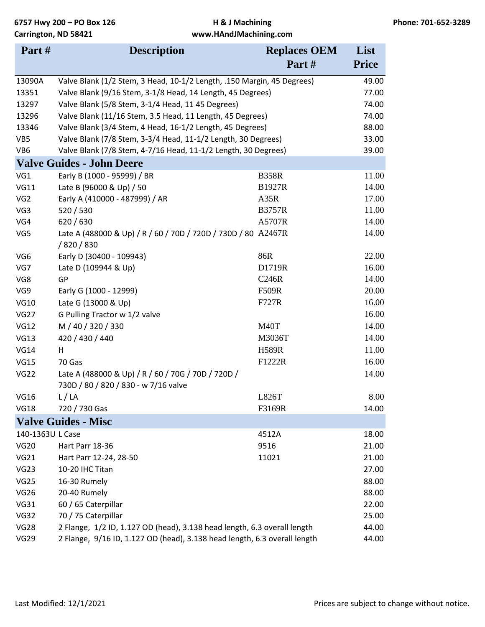| Part#            | <b>Description</b>                                                                         | <b>Replaces OEM</b><br>Part# | List<br><b>Price</b> |
|------------------|--------------------------------------------------------------------------------------------|------------------------------|----------------------|
| 13090A           | Valve Blank (1/2 Stem, 3 Head, 10-1/2 Length, .150 Margin, 45 Degrees)                     |                              | 49.00                |
| 13351            | Valve Blank (9/16 Stem, 3-1/8 Head, 14 Length, 45 Degrees)                                 |                              | 77.00                |
| 13297            | Valve Blank (5/8 Stem, 3-1/4 Head, 11 45 Degrees)                                          |                              | 74.00                |
| 13296            | Valve Blank (11/16 Stem, 3.5 Head, 11 Length, 45 Degrees)                                  |                              | 74.00                |
| 13346            | Valve Blank (3/4 Stem, 4 Head, 16-1/2 Length, 45 Degrees)                                  |                              | 88.00                |
| VB5              | Valve Blank (7/8 Stem, 3-3/4 Head, 11-1/2 Length, 30 Degrees)                              |                              | 33.00                |
| VB6              | Valve Blank (7/8 Stem, 4-7/16 Head, 11-1/2 Length, 30 Degrees)                             |                              | 39.00                |
|                  | <b>Valve Guides - John Deere</b>                                                           |                              |                      |
| VG1              | Early B (1000 - 95999) / BR                                                                | <b>B358R</b>                 | 11.00                |
| <b>VG11</b>      | Late B (96000 & Up) / 50                                                                   | <b>B1927R</b>                | 14.00                |
| VG <sub>2</sub>  | Early A (410000 - 487999) / AR                                                             | A35R                         | 17.00                |
| VG3              | 520/530                                                                                    | <b>B3757R</b>                | 11.00                |
| VG4              | 620 / 630                                                                                  | A5707R                       | 14.00                |
| VG5              | Late A (488000 & Up) / R / 60 / 70D / 720D / 730D / 80 A2467R<br>/820/830                  |                              | 14.00                |
| VG <sub>6</sub>  | Early D (30400 - 109943)                                                                   | 86R                          | 22.00                |
| VG7              | Late D (109944 & Up)                                                                       | D1719R                       | 16.00                |
| VG8              | GP                                                                                         | C <sub>246R</sub>            | 14.00                |
| VG9              | Early G (1000 - 12999)                                                                     | <b>F509R</b>                 | 20.00                |
| <b>VG10</b>      | Late G (13000 & Up)                                                                        | F727R                        | 16.00                |
| <b>VG27</b>      | G Pulling Tractor w 1/2 valve                                                              |                              | 16.00                |
| <b>VG12</b>      | M / 40 / 320 / 330                                                                         | M <sub>40</sub> T            | 14.00                |
| <b>VG13</b>      | 420 / 430 / 440                                                                            | M3036T                       | 14.00                |
| <b>VG14</b>      | н                                                                                          | <b>H589R</b>                 | 11.00                |
| <b>VG15</b>      | 70 Gas                                                                                     | F1222R                       | 16.00                |
| <b>VG22</b>      | Late A (488000 & Up) / R / 60 / 70G / 70D / 720D /<br>730D / 80 / 820 / 830 - w 7/16 valve |                              | 14.00                |
| <b>VG16</b>      | L/LA                                                                                       | L826T                        | 8.00                 |
| <b>VG18</b>      | 720 / 730 Gas                                                                              | F3169R                       | 14.00                |
|                  | <b>Valve Guides - Misc</b>                                                                 |                              |                      |
| 140-1363U L Case |                                                                                            | 4512A                        | 18.00                |
| <b>VG20</b>      | Hart Parr 18-36                                                                            | 9516                         | 21.00                |
| <b>VG21</b>      | Hart Parr 12-24, 28-50                                                                     | 11021                        | 21.00                |
| <b>VG23</b>      | 10-20 IHC Titan                                                                            |                              | 27.00                |
| VG25             | 16-30 Rumely                                                                               |                              | 88.00                |
| <b>VG26</b>      | 20-40 Rumely                                                                               |                              | 88.00                |
| VG31             | 60 / 65 Caterpillar                                                                        |                              | 22.00                |
| <b>VG32</b>      | 70 / 75 Caterpillar                                                                        |                              | 25.00                |
| <b>VG28</b>      | 2 Flange, 1/2 ID, 1.127 OD (head), 3.138 head length, 6.3 overall length                   |                              | 44.00                |
| <b>VG29</b>      | 2 Flange, 9/16 ID, 1.127 OD (head), 3.138 head length, 6.3 overall length                  |                              | 44.00                |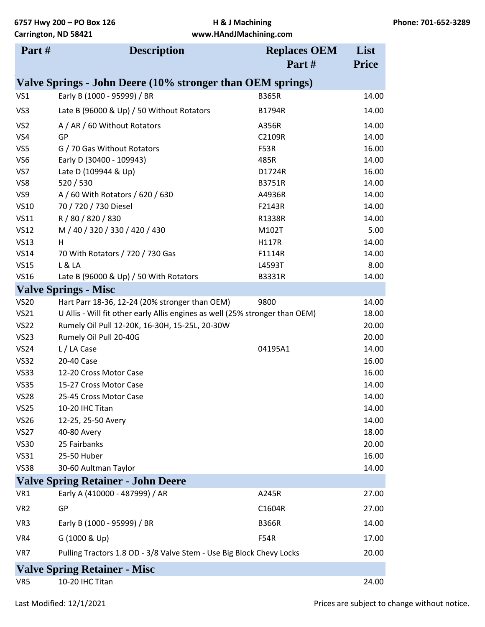| Part#           | <b>Description</b>                                                           | <b>Replaces OEM</b> | List         |
|-----------------|------------------------------------------------------------------------------|---------------------|--------------|
|                 |                                                                              | Part#               | <b>Price</b> |
|                 | Valve Springs - John Deere (10% stronger than OEM springs)                   |                     |              |
| VS1             | Early B (1000 - 95999) / BR                                                  | <b>B365R</b>        | 14.00        |
| VS3             | Late B (96000 & Up) / 50 Without Rotators                                    | <b>B1794R</b>       | 14.00        |
| VS <sub>2</sub> | A / AR / 60 Without Rotators                                                 | A356R               | 14.00        |
| VS4             | GP                                                                           | C2109R              | 14.00        |
| VS5             | G / 70 Gas Without Rotators                                                  | F53R                | 16.00        |
| VS6             | Early D (30400 - 109943)                                                     | 485R                | 14.00        |
| VS7             | Late D (109944 & Up)                                                         | D1724R              | 16.00        |
| VS8             | 520 / 530                                                                    | B3751R              | 14.00        |
| VS9             | A / 60 With Rotators / 620 / 630                                             | A4936R              | 14.00        |
| <b>VS10</b>     | 70 / 720 / 730 Diesel                                                        | F2143R              | 14.00        |
| <b>VS11</b>     | R / 80 / 820 / 830                                                           | R1338R              | 14.00        |
| <b>VS12</b>     | M / 40 / 320 / 330 / 420 / 430                                               | M102T               | 5.00         |
| <b>VS13</b>     | H                                                                            | <b>H117R</b>        | 14.00        |
| <b>VS14</b>     | 70 With Rotators / 720 / 730 Gas                                             | F1114R              | 14.00        |
| <b>VS15</b>     | L & LA                                                                       | L4593T              | 8.00         |
| <b>VS16</b>     | Late B (96000 & Up) / 50 With Rotators                                       | <b>B3331R</b>       | 14.00        |
|                 | <b>Valve Springs - Misc</b>                                                  |                     |              |
| <b>VS20</b>     | Hart Parr 18-36, 12-24 (20% stronger than OEM)                               | 9800                | 14.00        |
| <b>VS21</b>     | U Allis - Will fit other early Allis engines as well (25% stronger than OEM) |                     | 18.00        |
| <b>VS22</b>     | Rumely Oil Pull 12-20K, 16-30H, 15-25L, 20-30W                               |                     | 20.00        |
| <b>VS23</b>     | Rumely Oil Pull 20-40G                                                       |                     | 20.00        |
| <b>VS24</b>     | L / LA Case                                                                  | 04195A1             | 14.00        |
| <b>VS32</b>     | 20-40 Case                                                                   |                     | 16.00        |
| <b>VS33</b>     | 12-20 Cross Motor Case                                                       |                     | 16.00        |
| <b>VS35</b>     | 15-27 Cross Motor Case                                                       |                     | 14.00        |
| <b>VS28</b>     | 25-45 Cross Motor Case                                                       |                     | 14.00        |
| <b>VS25</b>     | 10-20 IHC Titan                                                              |                     | 14.00        |
| <b>VS26</b>     | 12-25, 25-50 Avery                                                           |                     | 14.00        |
| <b>VS27</b>     | 40-80 Avery                                                                  |                     | 18.00        |
| <b>VS30</b>     | 25 Fairbanks                                                                 |                     | 20.00        |
| <b>VS31</b>     | 25-50 Huber                                                                  |                     | 16.00        |
| <b>VS38</b>     | 30-60 Aultman Taylor                                                         |                     | 14.00        |
|                 | <b>Valve Spring Retainer - John Deere</b>                                    |                     |              |
| VR1             | Early A (410000 - 487999) / AR                                               | A245R               | 27.00        |
| VR <sub>2</sub> | GP                                                                           | C1604R              | 27.00        |
| VR <sub>3</sub> | Early B (1000 - 95999) / BR                                                  | <b>B366R</b>        | 14.00        |
| VR4             | G (1000 & Up)                                                                | <b>F54R</b>         | 17.00        |
| VR7             | Pulling Tractors 1.8 OD - 3/8 Valve Stem - Use Big Block Chevy Locks         |                     | 20.00        |
|                 | <b>Valve Spring Retainer - Misc</b>                                          |                     |              |
| VR5             | 10-20 IHC Titan                                                              |                     | 24.00        |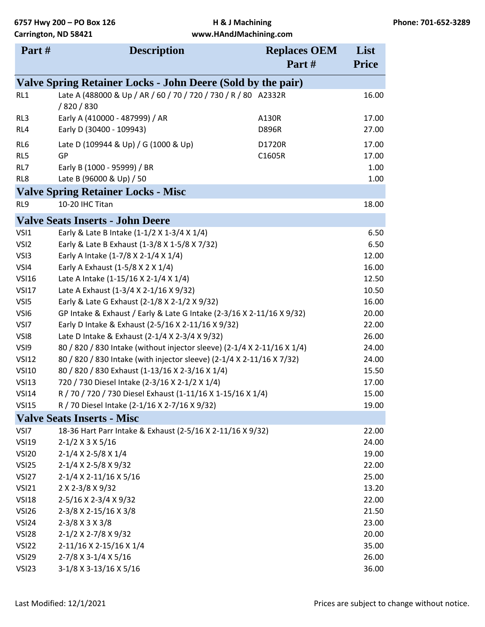| Part#<br><b>Price</b><br>Valve Spring Retainer Locks - John Deere (Sold by the pair)<br>Late A (488000 & Up / AR / 60 / 70 / 720 / 730 / R / 80 A2332R<br>16.00<br>RL1<br>/820/830<br>Early A (410000 - 487999) / AR<br>RL3<br>A130R<br>17.00<br>Early D (30400 - 109943)<br><b>D896R</b><br>27.00<br>RL4<br>RL <sub>6</sub><br>Late D (109944 & Up) / G (1000 & Up)<br>17.00<br>D1720R<br>RL5<br>GP<br>C1605R<br>17.00<br>RL7<br>Early B (1000 - 95999) / BR<br>1.00<br>RL8<br>Late B (96000 & Up) / 50<br>1.00<br><b>Valve Spring Retainer Locks - Misc</b><br>RL9<br>10-20 IHC Titan<br>18.00<br><b>Valve Seats Inserts - John Deere</b><br>VSI1<br>Early & Late B Intake (1-1/2 X 1-3/4 X 1/4)<br>6.50<br>Early & Late B Exhaust (1-3/8 X 1-5/8 X 7/32)<br>VSI <sub>2</sub><br>6.50<br>VSI3<br>Early A Intake (1-7/8 X 2-1/4 X 1/4)<br>12.00<br>VSI4<br>Early A Exhaust (1-5/8 X 2 X 1/4)<br>16.00<br>Late A Intake (1-15/16 X 2-1/4 X 1/4)<br><b>VSI16</b><br>12.50<br>Late A Exhaust (1-3/4 X 2-1/16 X 9/32)<br><b>VSI17</b><br>10.50<br>VSI5<br>Early & Late G Exhaust (2-1/8 X 2-1/2 X 9/32)<br>16.00<br>VSI6<br>GP Intake & Exhaust / Early & Late G Intake (2-3/16 X 2-11/16 X 9/32)<br>20.00<br>Early D Intake & Exhaust (2-5/16 X 2-11/16 X 9/32)<br>VSI7<br>22.00<br>VSI8<br>Late D Intake & Exhaust (2-1/4 X 2-3/4 X 9/32)<br>26.00<br>80 / 820 / 830 Intake (without injector sleeve) (2-1/4 X 2-11/16 X 1/4)<br>VSI9<br>24.00<br><b>VSI12</b><br>80 / 820 / 830 Intake (with injector sleeve) (2-1/4 X 2-11/16 X 7/32)<br>24.00<br>80 / 820 / 830 Exhaust (1-13/16 X 2-3/16 X 1/4)<br><b>VSI10</b><br>15.50<br>720 / 730 Diesel Intake (2-3/16 X 2-1/2 X 1/4)<br><b>VSI13</b><br>17.00<br><b>VSI14</b><br>R / 70 / 720 / 730 Diesel Exhaust (1-11/16 X 1-15/16 X 1/4)<br>15.00<br>R / 70 Diesel Intake (2-1/16 X 2-7/16 X 9/32)<br><b>VSI15</b><br>19.00<br><b>Valve Seats Inserts - Misc</b><br>18-36 Hart Parr Intake & Exhaust (2-5/16 X 2-11/16 X 9/32)<br>VSI7<br>22.00<br><b>VSI19</b><br>$2-1/2$ X 3 X 5/16<br>24.00<br>2-1/4 X 2-5/8 X 1/4<br>19.00<br><b>VSI20</b><br>VSI25<br>2-1/4 X 2-5/8 X 9/32<br>22.00<br>2-1/4 X 2-11/16 X 5/16<br>VSI <sub>27</sub><br>25.00<br><b>VSI21</b><br>2 X 2-3/8 X 9/32<br>13.20<br>2-5/16 X 2-3/4 X 9/32<br><b>VSI18</b><br>22.00<br>2-3/8 X 2-15/16 X 3/8<br>VSI <sub>26</sub><br>21.50<br>$2-3/8$ X 3 X 3/8<br>23.00<br>VSI <sub>24</sub><br>2-1/2 X 2-7/8 X 9/32<br>VSI <sub>28</sub><br>20.00<br>VSI <sub>22</sub><br>2-11/16 X 2-15/16 X 1/4<br>35.00<br>2-7/8 X 3-1/4 X 5/16<br>26.00<br>VSI <sub>29</sub> | Part#             | <b>Description</b>     | <b>Replaces OEM</b> | List  |
|-----------------------------------------------------------------------------------------------------------------------------------------------------------------------------------------------------------------------------------------------------------------------------------------------------------------------------------------------------------------------------------------------------------------------------------------------------------------------------------------------------------------------------------------------------------------------------------------------------------------------------------------------------------------------------------------------------------------------------------------------------------------------------------------------------------------------------------------------------------------------------------------------------------------------------------------------------------------------------------------------------------------------------------------------------------------------------------------------------------------------------------------------------------------------------------------------------------------------------------------------------------------------------------------------------------------------------------------------------------------------------------------------------------------------------------------------------------------------------------------------------------------------------------------------------------------------------------------------------------------------------------------------------------------------------------------------------------------------------------------------------------------------------------------------------------------------------------------------------------------------------------------------------------------------------------------------------------------------------------------------------------------------------------------------------------------------------------------------------------------------------------------------------------------------------------------------------------------------------------------------------------------------------------------------------------------------------------------------------------------------------------------------------------------------------------------------------------------------------------------------------------------------------------------------------------------------------|-------------------|------------------------|---------------------|-------|
|                                                                                                                                                                                                                                                                                                                                                                                                                                                                                                                                                                                                                                                                                                                                                                                                                                                                                                                                                                                                                                                                                                                                                                                                                                                                                                                                                                                                                                                                                                                                                                                                                                                                                                                                                                                                                                                                                                                                                                                                                                                                                                                                                                                                                                                                                                                                                                                                                                                                                                                                                                             |                   |                        |                     |       |
|                                                                                                                                                                                                                                                                                                                                                                                                                                                                                                                                                                                                                                                                                                                                                                                                                                                                                                                                                                                                                                                                                                                                                                                                                                                                                                                                                                                                                                                                                                                                                                                                                                                                                                                                                                                                                                                                                                                                                                                                                                                                                                                                                                                                                                                                                                                                                                                                                                                                                                                                                                             |                   |                        |                     |       |
|                                                                                                                                                                                                                                                                                                                                                                                                                                                                                                                                                                                                                                                                                                                                                                                                                                                                                                                                                                                                                                                                                                                                                                                                                                                                                                                                                                                                                                                                                                                                                                                                                                                                                                                                                                                                                                                                                                                                                                                                                                                                                                                                                                                                                                                                                                                                                                                                                                                                                                                                                                             |                   |                        |                     |       |
|                                                                                                                                                                                                                                                                                                                                                                                                                                                                                                                                                                                                                                                                                                                                                                                                                                                                                                                                                                                                                                                                                                                                                                                                                                                                                                                                                                                                                                                                                                                                                                                                                                                                                                                                                                                                                                                                                                                                                                                                                                                                                                                                                                                                                                                                                                                                                                                                                                                                                                                                                                             |                   |                        |                     |       |
|                                                                                                                                                                                                                                                                                                                                                                                                                                                                                                                                                                                                                                                                                                                                                                                                                                                                                                                                                                                                                                                                                                                                                                                                                                                                                                                                                                                                                                                                                                                                                                                                                                                                                                                                                                                                                                                                                                                                                                                                                                                                                                                                                                                                                                                                                                                                                                                                                                                                                                                                                                             |                   |                        |                     |       |
|                                                                                                                                                                                                                                                                                                                                                                                                                                                                                                                                                                                                                                                                                                                                                                                                                                                                                                                                                                                                                                                                                                                                                                                                                                                                                                                                                                                                                                                                                                                                                                                                                                                                                                                                                                                                                                                                                                                                                                                                                                                                                                                                                                                                                                                                                                                                                                                                                                                                                                                                                                             |                   |                        |                     |       |
|                                                                                                                                                                                                                                                                                                                                                                                                                                                                                                                                                                                                                                                                                                                                                                                                                                                                                                                                                                                                                                                                                                                                                                                                                                                                                                                                                                                                                                                                                                                                                                                                                                                                                                                                                                                                                                                                                                                                                                                                                                                                                                                                                                                                                                                                                                                                                                                                                                                                                                                                                                             |                   |                        |                     |       |
|                                                                                                                                                                                                                                                                                                                                                                                                                                                                                                                                                                                                                                                                                                                                                                                                                                                                                                                                                                                                                                                                                                                                                                                                                                                                                                                                                                                                                                                                                                                                                                                                                                                                                                                                                                                                                                                                                                                                                                                                                                                                                                                                                                                                                                                                                                                                                                                                                                                                                                                                                                             |                   |                        |                     |       |
|                                                                                                                                                                                                                                                                                                                                                                                                                                                                                                                                                                                                                                                                                                                                                                                                                                                                                                                                                                                                                                                                                                                                                                                                                                                                                                                                                                                                                                                                                                                                                                                                                                                                                                                                                                                                                                                                                                                                                                                                                                                                                                                                                                                                                                                                                                                                                                                                                                                                                                                                                                             |                   |                        |                     |       |
|                                                                                                                                                                                                                                                                                                                                                                                                                                                                                                                                                                                                                                                                                                                                                                                                                                                                                                                                                                                                                                                                                                                                                                                                                                                                                                                                                                                                                                                                                                                                                                                                                                                                                                                                                                                                                                                                                                                                                                                                                                                                                                                                                                                                                                                                                                                                                                                                                                                                                                                                                                             |                   |                        |                     |       |
|                                                                                                                                                                                                                                                                                                                                                                                                                                                                                                                                                                                                                                                                                                                                                                                                                                                                                                                                                                                                                                                                                                                                                                                                                                                                                                                                                                                                                                                                                                                                                                                                                                                                                                                                                                                                                                                                                                                                                                                                                                                                                                                                                                                                                                                                                                                                                                                                                                                                                                                                                                             |                   |                        |                     |       |
|                                                                                                                                                                                                                                                                                                                                                                                                                                                                                                                                                                                                                                                                                                                                                                                                                                                                                                                                                                                                                                                                                                                                                                                                                                                                                                                                                                                                                                                                                                                                                                                                                                                                                                                                                                                                                                                                                                                                                                                                                                                                                                                                                                                                                                                                                                                                                                                                                                                                                                                                                                             |                   |                        |                     |       |
|                                                                                                                                                                                                                                                                                                                                                                                                                                                                                                                                                                                                                                                                                                                                                                                                                                                                                                                                                                                                                                                                                                                                                                                                                                                                                                                                                                                                                                                                                                                                                                                                                                                                                                                                                                                                                                                                                                                                                                                                                                                                                                                                                                                                                                                                                                                                                                                                                                                                                                                                                                             |                   |                        |                     |       |
|                                                                                                                                                                                                                                                                                                                                                                                                                                                                                                                                                                                                                                                                                                                                                                                                                                                                                                                                                                                                                                                                                                                                                                                                                                                                                                                                                                                                                                                                                                                                                                                                                                                                                                                                                                                                                                                                                                                                                                                                                                                                                                                                                                                                                                                                                                                                                                                                                                                                                                                                                                             |                   |                        |                     |       |
|                                                                                                                                                                                                                                                                                                                                                                                                                                                                                                                                                                                                                                                                                                                                                                                                                                                                                                                                                                                                                                                                                                                                                                                                                                                                                                                                                                                                                                                                                                                                                                                                                                                                                                                                                                                                                                                                                                                                                                                                                                                                                                                                                                                                                                                                                                                                                                                                                                                                                                                                                                             |                   |                        |                     |       |
|                                                                                                                                                                                                                                                                                                                                                                                                                                                                                                                                                                                                                                                                                                                                                                                                                                                                                                                                                                                                                                                                                                                                                                                                                                                                                                                                                                                                                                                                                                                                                                                                                                                                                                                                                                                                                                                                                                                                                                                                                                                                                                                                                                                                                                                                                                                                                                                                                                                                                                                                                                             |                   |                        |                     |       |
|                                                                                                                                                                                                                                                                                                                                                                                                                                                                                                                                                                                                                                                                                                                                                                                                                                                                                                                                                                                                                                                                                                                                                                                                                                                                                                                                                                                                                                                                                                                                                                                                                                                                                                                                                                                                                                                                                                                                                                                                                                                                                                                                                                                                                                                                                                                                                                                                                                                                                                                                                                             |                   |                        |                     |       |
|                                                                                                                                                                                                                                                                                                                                                                                                                                                                                                                                                                                                                                                                                                                                                                                                                                                                                                                                                                                                                                                                                                                                                                                                                                                                                                                                                                                                                                                                                                                                                                                                                                                                                                                                                                                                                                                                                                                                                                                                                                                                                                                                                                                                                                                                                                                                                                                                                                                                                                                                                                             |                   |                        |                     |       |
|                                                                                                                                                                                                                                                                                                                                                                                                                                                                                                                                                                                                                                                                                                                                                                                                                                                                                                                                                                                                                                                                                                                                                                                                                                                                                                                                                                                                                                                                                                                                                                                                                                                                                                                                                                                                                                                                                                                                                                                                                                                                                                                                                                                                                                                                                                                                                                                                                                                                                                                                                                             |                   |                        |                     |       |
|                                                                                                                                                                                                                                                                                                                                                                                                                                                                                                                                                                                                                                                                                                                                                                                                                                                                                                                                                                                                                                                                                                                                                                                                                                                                                                                                                                                                                                                                                                                                                                                                                                                                                                                                                                                                                                                                                                                                                                                                                                                                                                                                                                                                                                                                                                                                                                                                                                                                                                                                                                             |                   |                        |                     |       |
|                                                                                                                                                                                                                                                                                                                                                                                                                                                                                                                                                                                                                                                                                                                                                                                                                                                                                                                                                                                                                                                                                                                                                                                                                                                                                                                                                                                                                                                                                                                                                                                                                                                                                                                                                                                                                                                                                                                                                                                                                                                                                                                                                                                                                                                                                                                                                                                                                                                                                                                                                                             |                   |                        |                     |       |
|                                                                                                                                                                                                                                                                                                                                                                                                                                                                                                                                                                                                                                                                                                                                                                                                                                                                                                                                                                                                                                                                                                                                                                                                                                                                                                                                                                                                                                                                                                                                                                                                                                                                                                                                                                                                                                                                                                                                                                                                                                                                                                                                                                                                                                                                                                                                                                                                                                                                                                                                                                             |                   |                        |                     |       |
|                                                                                                                                                                                                                                                                                                                                                                                                                                                                                                                                                                                                                                                                                                                                                                                                                                                                                                                                                                                                                                                                                                                                                                                                                                                                                                                                                                                                                                                                                                                                                                                                                                                                                                                                                                                                                                                                                                                                                                                                                                                                                                                                                                                                                                                                                                                                                                                                                                                                                                                                                                             |                   |                        |                     |       |
|                                                                                                                                                                                                                                                                                                                                                                                                                                                                                                                                                                                                                                                                                                                                                                                                                                                                                                                                                                                                                                                                                                                                                                                                                                                                                                                                                                                                                                                                                                                                                                                                                                                                                                                                                                                                                                                                                                                                                                                                                                                                                                                                                                                                                                                                                                                                                                                                                                                                                                                                                                             |                   |                        |                     |       |
|                                                                                                                                                                                                                                                                                                                                                                                                                                                                                                                                                                                                                                                                                                                                                                                                                                                                                                                                                                                                                                                                                                                                                                                                                                                                                                                                                                                                                                                                                                                                                                                                                                                                                                                                                                                                                                                                                                                                                                                                                                                                                                                                                                                                                                                                                                                                                                                                                                                                                                                                                                             |                   |                        |                     |       |
|                                                                                                                                                                                                                                                                                                                                                                                                                                                                                                                                                                                                                                                                                                                                                                                                                                                                                                                                                                                                                                                                                                                                                                                                                                                                                                                                                                                                                                                                                                                                                                                                                                                                                                                                                                                                                                                                                                                                                                                                                                                                                                                                                                                                                                                                                                                                                                                                                                                                                                                                                                             |                   |                        |                     |       |
|                                                                                                                                                                                                                                                                                                                                                                                                                                                                                                                                                                                                                                                                                                                                                                                                                                                                                                                                                                                                                                                                                                                                                                                                                                                                                                                                                                                                                                                                                                                                                                                                                                                                                                                                                                                                                                                                                                                                                                                                                                                                                                                                                                                                                                                                                                                                                                                                                                                                                                                                                                             |                   |                        |                     |       |
|                                                                                                                                                                                                                                                                                                                                                                                                                                                                                                                                                                                                                                                                                                                                                                                                                                                                                                                                                                                                                                                                                                                                                                                                                                                                                                                                                                                                                                                                                                                                                                                                                                                                                                                                                                                                                                                                                                                                                                                                                                                                                                                                                                                                                                                                                                                                                                                                                                                                                                                                                                             |                   |                        |                     |       |
|                                                                                                                                                                                                                                                                                                                                                                                                                                                                                                                                                                                                                                                                                                                                                                                                                                                                                                                                                                                                                                                                                                                                                                                                                                                                                                                                                                                                                                                                                                                                                                                                                                                                                                                                                                                                                                                                                                                                                                                                                                                                                                                                                                                                                                                                                                                                                                                                                                                                                                                                                                             |                   |                        |                     |       |
|                                                                                                                                                                                                                                                                                                                                                                                                                                                                                                                                                                                                                                                                                                                                                                                                                                                                                                                                                                                                                                                                                                                                                                                                                                                                                                                                                                                                                                                                                                                                                                                                                                                                                                                                                                                                                                                                                                                                                                                                                                                                                                                                                                                                                                                                                                                                                                                                                                                                                                                                                                             |                   |                        |                     |       |
|                                                                                                                                                                                                                                                                                                                                                                                                                                                                                                                                                                                                                                                                                                                                                                                                                                                                                                                                                                                                                                                                                                                                                                                                                                                                                                                                                                                                                                                                                                                                                                                                                                                                                                                                                                                                                                                                                                                                                                                                                                                                                                                                                                                                                                                                                                                                                                                                                                                                                                                                                                             |                   |                        |                     |       |
|                                                                                                                                                                                                                                                                                                                                                                                                                                                                                                                                                                                                                                                                                                                                                                                                                                                                                                                                                                                                                                                                                                                                                                                                                                                                                                                                                                                                                                                                                                                                                                                                                                                                                                                                                                                                                                                                                                                                                                                                                                                                                                                                                                                                                                                                                                                                                                                                                                                                                                                                                                             |                   |                        |                     |       |
|                                                                                                                                                                                                                                                                                                                                                                                                                                                                                                                                                                                                                                                                                                                                                                                                                                                                                                                                                                                                                                                                                                                                                                                                                                                                                                                                                                                                                                                                                                                                                                                                                                                                                                                                                                                                                                                                                                                                                                                                                                                                                                                                                                                                                                                                                                                                                                                                                                                                                                                                                                             |                   |                        |                     |       |
|                                                                                                                                                                                                                                                                                                                                                                                                                                                                                                                                                                                                                                                                                                                                                                                                                                                                                                                                                                                                                                                                                                                                                                                                                                                                                                                                                                                                                                                                                                                                                                                                                                                                                                                                                                                                                                                                                                                                                                                                                                                                                                                                                                                                                                                                                                                                                                                                                                                                                                                                                                             |                   |                        |                     |       |
|                                                                                                                                                                                                                                                                                                                                                                                                                                                                                                                                                                                                                                                                                                                                                                                                                                                                                                                                                                                                                                                                                                                                                                                                                                                                                                                                                                                                                                                                                                                                                                                                                                                                                                                                                                                                                                                                                                                                                                                                                                                                                                                                                                                                                                                                                                                                                                                                                                                                                                                                                                             |                   |                        |                     |       |
|                                                                                                                                                                                                                                                                                                                                                                                                                                                                                                                                                                                                                                                                                                                                                                                                                                                                                                                                                                                                                                                                                                                                                                                                                                                                                                                                                                                                                                                                                                                                                                                                                                                                                                                                                                                                                                                                                                                                                                                                                                                                                                                                                                                                                                                                                                                                                                                                                                                                                                                                                                             |                   |                        |                     |       |
|                                                                                                                                                                                                                                                                                                                                                                                                                                                                                                                                                                                                                                                                                                                                                                                                                                                                                                                                                                                                                                                                                                                                                                                                                                                                                                                                                                                                                                                                                                                                                                                                                                                                                                                                                                                                                                                                                                                                                                                                                                                                                                                                                                                                                                                                                                                                                                                                                                                                                                                                                                             |                   |                        |                     |       |
|                                                                                                                                                                                                                                                                                                                                                                                                                                                                                                                                                                                                                                                                                                                                                                                                                                                                                                                                                                                                                                                                                                                                                                                                                                                                                                                                                                                                                                                                                                                                                                                                                                                                                                                                                                                                                                                                                                                                                                                                                                                                                                                                                                                                                                                                                                                                                                                                                                                                                                                                                                             |                   |                        |                     |       |
|                                                                                                                                                                                                                                                                                                                                                                                                                                                                                                                                                                                                                                                                                                                                                                                                                                                                                                                                                                                                                                                                                                                                                                                                                                                                                                                                                                                                                                                                                                                                                                                                                                                                                                                                                                                                                                                                                                                                                                                                                                                                                                                                                                                                                                                                                                                                                                                                                                                                                                                                                                             |                   |                        |                     |       |
|                                                                                                                                                                                                                                                                                                                                                                                                                                                                                                                                                                                                                                                                                                                                                                                                                                                                                                                                                                                                                                                                                                                                                                                                                                                                                                                                                                                                                                                                                                                                                                                                                                                                                                                                                                                                                                                                                                                                                                                                                                                                                                                                                                                                                                                                                                                                                                                                                                                                                                                                                                             |                   |                        |                     |       |
|                                                                                                                                                                                                                                                                                                                                                                                                                                                                                                                                                                                                                                                                                                                                                                                                                                                                                                                                                                                                                                                                                                                                                                                                                                                                                                                                                                                                                                                                                                                                                                                                                                                                                                                                                                                                                                                                                                                                                                                                                                                                                                                                                                                                                                                                                                                                                                                                                                                                                                                                                                             | VSI <sub>23</sub> | 3-1/8 X 3-13/16 X 5/16 |                     | 36.00 |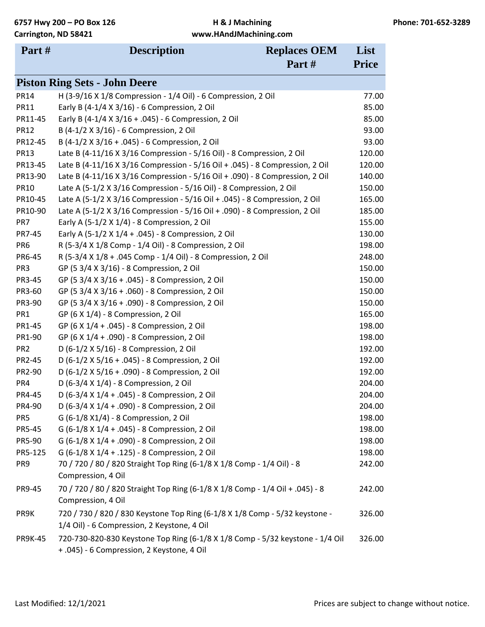| Part#           | <b>Description</b>                                                                                                          | <b>Replaces OEM</b> | List         |
|-----------------|-----------------------------------------------------------------------------------------------------------------------------|---------------------|--------------|
|                 |                                                                                                                             | Part#               | <b>Price</b> |
|                 | <b>Piston Ring Sets - John Deere</b>                                                                                        |                     |              |
| <b>PR14</b>     | H (3-9/16 X 1/8 Compression - 1/4 Oil) - 6 Compression, 2 Oil                                                               |                     | 77.00        |
| <b>PR11</b>     | Early B (4-1/4 X 3/16) - 6 Compression, 2 Oil                                                                               |                     | 85.00        |
| PR11-45         | Early B (4-1/4 X 3/16 + .045) - 6 Compression, 2 Oil                                                                        |                     | 85.00        |
| <b>PR12</b>     | B (4-1/2 X 3/16) - 6 Compression, 2 Oil                                                                                     |                     | 93.00        |
| PR12-45         | B (4-1/2 X 3/16 + .045) - 6 Compression, 2 Oil                                                                              |                     | 93.00        |
| <b>PR13</b>     | Late B (4-11/16 X 3/16 Compression - 5/16 Oil) - 8 Compression, 2 Oil                                                       |                     | 120.00       |
| PR13-45         | Late B (4-11/16 X 3/16 Compression - 5/16 Oil + .045) - 8 Compression, 2 Oil                                                |                     | 120.00       |
| PR13-90         | Late B (4-11/16 X 3/16 Compression - 5/16 Oil + .090) - 8 Compression, 2 Oil                                                |                     | 140.00       |
| <b>PR10</b>     | Late A (5-1/2 X 3/16 Compression - 5/16 Oil) - 8 Compression, 2 Oil                                                         |                     | 150.00       |
| PR10-45         | Late A (5-1/2 X 3/16 Compression - 5/16 Oil + .045) - 8 Compression, 2 Oil                                                  |                     | 165.00       |
| PR10-90         | Late A (5-1/2 X 3/16 Compression - 5/16 Oil + .090) - 8 Compression, 2 Oil                                                  |                     | 185.00       |
| PR7             | Early A (5-1/2 X 1/4) - 8 Compression, 2 Oil                                                                                |                     | 155.00       |
| PR7-45          | Early A (5-1/2 X 1/4 + .045) - 8 Compression, 2 Oil                                                                         |                     | 130.00       |
| PR <sub>6</sub> | R (5-3/4 X 1/8 Comp - 1/4 Oil) - 8 Compression, 2 Oil                                                                       |                     | 198.00       |
| PR6-45          | R (5-3/4 X 1/8 + .045 Comp - 1/4 Oil) - 8 Compression, 2 Oil                                                                |                     | 248.00       |
| PR <sub>3</sub> | GP (5 3/4 X 3/16) - 8 Compression, 2 Oil                                                                                    |                     | 150.00       |
| PR3-45          | GP (5 3/4 X 3/16 + .045) - 8 Compression, 2 Oil                                                                             |                     | 150.00       |
| PR3-60          | GP (5 3/4 X 3/16 + .060) - 8 Compression, 2 Oil                                                                             |                     | 150.00       |
| PR3-90          | GP (5 3/4 X 3/16 + .090) - 8 Compression, 2 Oil                                                                             |                     | 150.00       |
| PR <sub>1</sub> | GP (6 X 1/4) - 8 Compression, 2 Oil                                                                                         |                     | 165.00       |
| PR1-45          | GP (6 X 1/4 + .045) - 8 Compression, 2 Oil                                                                                  |                     | 198.00       |
| PR1-90          | GP (6 X 1/4 + .090) - 8 Compression, 2 Oil                                                                                  |                     | 198.00       |
| PR <sub>2</sub> | D (6-1/2 X 5/16) - 8 Compression, 2 Oil                                                                                     |                     | 192.00       |
| PR2-45          | D (6-1/2 X 5/16 + .045) - 8 Compression, 2 Oil                                                                              |                     | 192.00       |
| PR2-90          | D (6-1/2 X 5/16 + .090) - 8 Compression, 2 Oil                                                                              |                     | 192.00       |
| PR4             | D (6-3/4 X 1/4) - 8 Compression, 2 Oil                                                                                      |                     | 204.00       |
| PR4-45          | D (6-3/4 X 1/4 + .045) - 8 Compression, 2 Oil                                                                               |                     | 204.00       |
| PR4-90          | D (6-3/4 X 1/4 + .090) - 8 Compression, 2 Oil                                                                               |                     | 204.00       |
| PR <sub>5</sub> | G (6-1/8 X1/4) - 8 Compression, 2 Oil                                                                                       |                     | 198.00       |
| PR5-45          | G (6-1/8 X 1/4 + .045) - 8 Compression, 2 Oil                                                                               |                     | 198.00       |
| PR5-90          | G (6-1/8 X 1/4 + .090) - 8 Compression, 2 Oil                                                                               |                     | 198.00       |
| PR5-125         | G (6-1/8 X 1/4 + .125) - 8 Compression, 2 Oil                                                                               |                     | 198.00       |
| PR <sub>9</sub> | 70 / 720 / 80 / 820 Straight Top Ring (6-1/8 X 1/8 Comp - 1/4 Oil) - 8                                                      |                     | 242.00       |
|                 | Compression, 4 Oil                                                                                                          |                     |              |
| PR9-45          | 70 / 720 / 80 / 820 Straight Top Ring (6-1/8 X 1/8 Comp - 1/4 Oil + .045) - 8                                               |                     | 242.00       |
|                 | Compression, 4 Oil                                                                                                          |                     |              |
| PR9K            | 720 / 730 / 820 / 830 Keystone Top Ring (6-1/8 X 1/8 Comp - 5/32 keystone -                                                 |                     | 326.00       |
|                 | 1/4 Oil) - 6 Compression, 2 Keystone, 4 Oil                                                                                 |                     |              |
| <b>PR9K-45</b>  | 720-730-820-830 Keystone Top Ring (6-1/8 X 1/8 Comp - 5/32 keystone - 1/4 Oil<br>+ .045) - 6 Compression, 2 Keystone, 4 Oil |                     | 326.00       |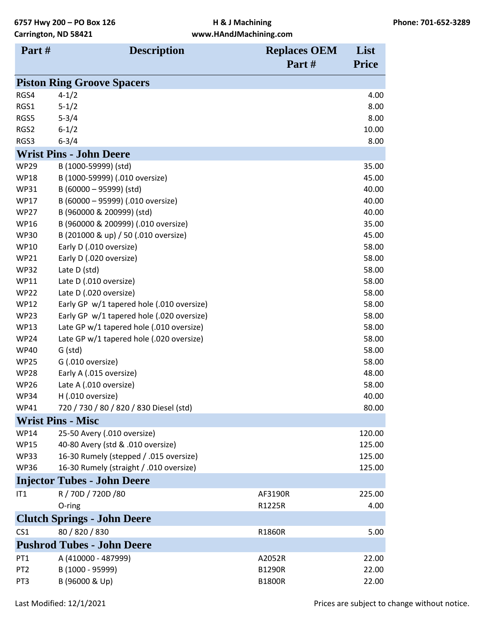| Part#                      | <b>Description</b>                                | <b>Replaces OEM</b> | List           |
|----------------------------|---------------------------------------------------|---------------------|----------------|
|                            |                                                   | Part#               | <b>Price</b>   |
|                            | <b>Piston Ring Groove Spacers</b>                 |                     |                |
| RGS4                       | $4 - 1/2$                                         |                     | 4.00           |
| RGS1                       | $5 - 1/2$                                         |                     | 8.00           |
| RGS5                       | $5 - 3/4$                                         |                     | 8.00           |
| RGS2                       | $6 - 1/2$                                         |                     | 10.00          |
| RGS3                       | $6 - 3/4$                                         |                     | 8.00           |
|                            | <b>Wrist Pins - John Deere</b>                    |                     |                |
| <b>WP29</b>                | B (1000-59999) (std)                              |                     | 35.00          |
| <b>WP18</b>                | B (1000-59999) (.010 oversize)                    |                     | 45.00          |
| <b>WP31</b>                | B (60000 - 95999) (std)                           |                     | 40.00          |
| <b>WP17</b>                | B (60000 - 95999) (.010 oversize)                 |                     | 40.00          |
| <b>WP27</b>                | B (960000 & 200999) (std)                         |                     | 40.00          |
| <b>WP16</b>                | B (960000 & 200999) (.010 oversize)               |                     | 35.00          |
| <b>WP30</b>                | B (201000 & up) / 50 (.010 oversize)              |                     | 45.00          |
| <b>WP10</b>                | Early D (.010 oversize)                           |                     | 58.00          |
| <b>WP21</b>                | Early D (.020 oversize)                           |                     | 58.00          |
| <b>WP32</b>                | Late D (std)                                      |                     | 58.00          |
| <b>WP11</b>                | Late D (.010 oversize)                            |                     | 58.00          |
| <b>WP22</b>                | Late D (.020 oversize)                            |                     | 58.00          |
| <b>WP12</b>                | Early GP w/1 tapered hole (.010 oversize)         |                     | 58.00          |
| <b>WP23</b>                | Early GP w/1 tapered hole (.020 oversize)         |                     | 58.00          |
| <b>WP13</b>                | Late GP w/1 tapered hole (.010 oversize)          |                     | 58.00          |
| <b>WP24</b>                | Late GP w/1 tapered hole (.020 oversize)          |                     | 58.00          |
| <b>WP40</b>                | G (std)                                           |                     | 58.00          |
| <b>WP25</b><br><b>WP28</b> | G (.010 oversize)                                 |                     | 58.00<br>48.00 |
| <b>WP26</b>                | Early A (.015 oversize)<br>Late A (.010 oversize) |                     | 58.00          |
| <b>WP34</b>                | $H(.010$ oversize)                                |                     | 40.00          |
| <b>WP41</b>                | 720 / 730 / 80 / 820 / 830 Diesel (std)           |                     | 80.00          |
|                            | <b>Wrist Pins - Misc</b>                          |                     |                |
| <b>WP14</b>                | 25-50 Avery (.010 oversize)                       |                     | 120.00         |
| <b>WP15</b>                | 40-80 Avery (std & .010 oversize)                 |                     | 125.00         |
| <b>WP33</b>                | 16-30 Rumely (stepped / .015 oversize)            |                     | 125.00         |
| <b>WP36</b>                | 16-30 Rumely (straight / .010 oversize)           |                     | 125.00         |
|                            | <b>Injector Tubes - John Deere</b>                |                     |                |
| IT1                        | R / 70D / 720D /80                                | AF3190R             | 225.00         |
|                            | O-ring                                            | R1225R              | 4.00           |
|                            | <b>Clutch Springs - John Deere</b>                |                     |                |
| CS <sub>1</sub>            | 80 / 820 / 830                                    | R1860R              | 5.00           |
|                            | <b>Pushrod Tubes - John Deere</b>                 |                     |                |
| PT <sub>1</sub>            | A (410000 - 487999)                               | A2052R              | 22.00          |
| PT <sub>2</sub>            | B (1000 - 95999)                                  | <b>B1290R</b>       | 22.00          |
| PT <sub>3</sub>            | B (96000 & Up)                                    | <b>B1800R</b>       | 22.00          |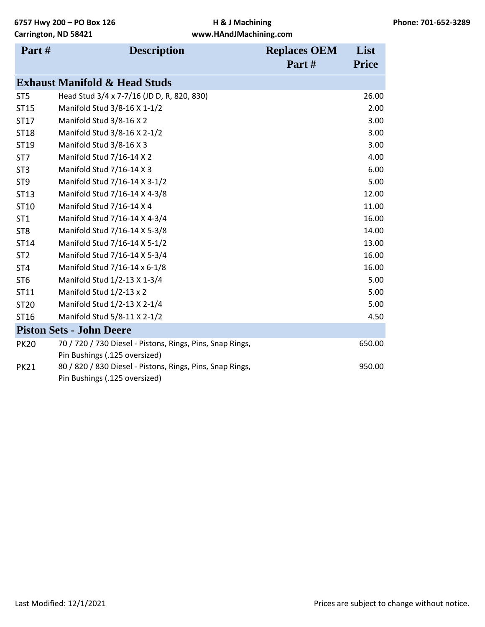| Part#           | <b>Description</b>                                        | <b>Replaces OEM</b> | List         |
|-----------------|-----------------------------------------------------------|---------------------|--------------|
|                 |                                                           | Part#               | <b>Price</b> |
|                 | <b>Exhaust Manifold &amp; Head Studs</b>                  |                     |              |
| ST <sub>5</sub> | Head Stud 3/4 x 7-7/16 (JD D, R, 820, 830)                |                     | 26.00        |
| ST15            | Manifold Stud 3/8-16 X 1-1/2                              |                     | 2.00         |
| ST17            | Manifold Stud 3/8-16 X 2                                  |                     | 3.00         |
| ST18            | Manifold Stud 3/8-16 X 2-1/2                              |                     | 3.00         |
| ST19            | Manifold Stud 3/8-16 X 3                                  |                     | 3.00         |
| ST <sub>7</sub> | Manifold Stud 7/16-14 X 2                                 |                     | 4.00         |
| ST <sub>3</sub> | Manifold Stud 7/16-14 X 3                                 |                     | 6.00         |
| ST <sub>9</sub> | Manifold Stud 7/16-14 X 3-1/2                             |                     | 5.00         |
| ST13            | Manifold Stud 7/16-14 X 4-3/8                             |                     | 12.00        |
| ST10            | Manifold Stud 7/16-14 X 4                                 |                     | 11.00        |
| ST <sub>1</sub> | Manifold Stud 7/16-14 X 4-3/4                             |                     | 16.00        |
| ST <sub>8</sub> | Manifold Stud 7/16-14 X 5-3/8                             |                     | 14.00        |
| ST14            | Manifold Stud 7/16-14 X 5-1/2                             |                     | 13.00        |
| ST <sub>2</sub> | Manifold Stud 7/16-14 X 5-3/4                             |                     | 16.00        |
| ST <sub>4</sub> | Manifold Stud 7/16-14 x 6-1/8                             |                     | 16.00        |
| ST <sub>6</sub> | Manifold Stud 1/2-13 X 1-3/4                              |                     | 5.00         |
| ST11            | Manifold Stud 1/2-13 x 2                                  |                     | 5.00         |
| ST20            | Manifold Stud 1/2-13 X 2-1/4                              |                     | 5.00         |
| ST16            | Manifold Stud 5/8-11 X 2-1/2                              |                     | 4.50         |
|                 | <b>Piston Sets - John Deere</b>                           |                     |              |
| <b>PK20</b>     | 70 / 720 / 730 Diesel - Pistons, Rings, Pins, Snap Rings, |                     | 650.00       |
|                 | Pin Bushings (.125 oversized)                             |                     |              |
| <b>PK21</b>     | 80 / 820 / 830 Diesel - Pistons, Rings, Pins, Snap Rings, |                     | 950.00       |
|                 | Pin Bushings (.125 oversized)                             |                     |              |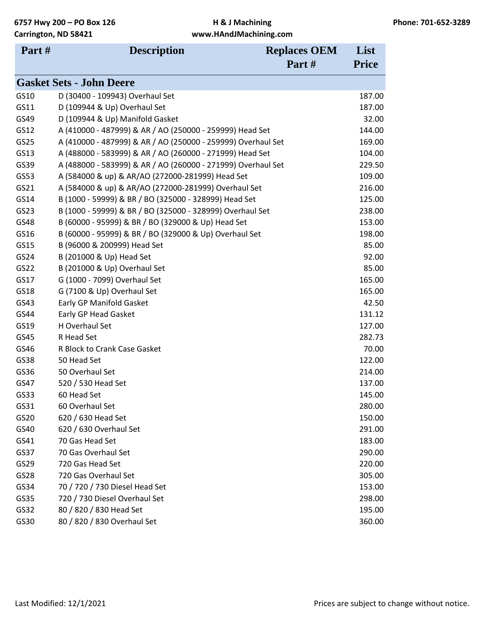| Part# | <b>Description</b>                                           | <b>Replaces OEM</b> | List         |
|-------|--------------------------------------------------------------|---------------------|--------------|
|       |                                                              | Part#               | <b>Price</b> |
|       | <b>Gasket Sets - John Deere</b>                              |                     |              |
| GS10  | D (30400 - 109943) Overhaul Set                              |                     | 187.00       |
| GS11  | D (109944 & Up) Overhaul Set                                 |                     | 187.00       |
| GS49  | D (109944 & Up) Manifold Gasket                              |                     | 32.00        |
| GS12  | A (410000 - 487999) & AR / AO (250000 - 259999) Head Set     |                     | 144.00       |
| GS25  | A (410000 - 487999) & AR / AO (250000 - 259999) Overhaul Set |                     | 169.00       |
| GS13  | A (488000 - 583999) & AR / AO (260000 - 271999) Head Set     |                     | 104.00       |
| GS39  | A (488000 - 583999) & AR / AO (260000 - 271999) Overhaul Set |                     | 229.50       |
| GS53  | A (584000 & up) & AR/AO (272000-281999) Head Set             |                     | 109.00       |
| GS21  | A (584000 & up) & AR/AO (272000-281999) Overhaul Set         |                     | 216.00       |
| GS14  | B (1000 - 59999) & BR / BO (325000 - 328999) Head Set        |                     | 125.00       |
| GS23  | B (1000 - 59999) & BR / BO (325000 - 328999) Overhaul Set    |                     | 238.00       |
| GS48  | B (60000 - 95999) & BR / BO (329000 & Up) Head Set           |                     | 153.00       |
| GS16  | B (60000 - 95999) & BR / BO (329000 & Up) Overhaul Set       |                     | 198.00       |
| GS15  | B (96000 & 200999) Head Set                                  |                     | 85.00        |
| GS24  | B (201000 & Up) Head Set                                     |                     | 92.00        |
| GS22  | B (201000 & Up) Overhaul Set                                 |                     | 85.00        |
| GS17  | G (1000 - 7099) Overhaul Set                                 |                     | 165.00       |
| GS18  | G (7100 & Up) Overhaul Set                                   |                     | 165.00       |
| GS43  | Early GP Manifold Gasket                                     |                     | 42.50        |
| GS44  | Early GP Head Gasket                                         |                     | 131.12       |
| GS19  | H Overhaul Set                                               |                     | 127.00       |
| GS45  | R Head Set                                                   |                     | 282.73       |
| GS46  | R Block to Crank Case Gasket                                 |                     | 70.00        |
| GS38  | 50 Head Set                                                  |                     | 122.00       |
| GS36  | 50 Overhaul Set                                              |                     | 214.00       |
| GS47  | 520 / 530 Head Set                                           |                     | 137.00       |
| GS33  | 60 Head Set                                                  |                     | 145.00       |
| GS31  | 60 Overhaul Set                                              |                     | 280.00       |
| GS20  | 620 / 630 Head Set                                           |                     | 150.00       |
| GS40  | 620 / 630 Overhaul Set                                       |                     | 291.00       |
| GS41  | 70 Gas Head Set                                              |                     | 183.00       |
| GS37  | 70 Gas Overhaul Set                                          |                     | 290.00       |
| GS29  | 720 Gas Head Set                                             |                     | 220.00       |
| GS28  | 720 Gas Overhaul Set                                         |                     | 305.00       |
| GS34  | 70 / 720 / 730 Diesel Head Set                               |                     | 153.00       |
| GS35  | 720 / 730 Diesel Overhaul Set                                |                     | 298.00       |
| GS32  | 80 / 820 / 830 Head Set                                      |                     | 195.00       |
| GS30  | 80 / 820 / 830 Overhaul Set                                  |                     | 360.00       |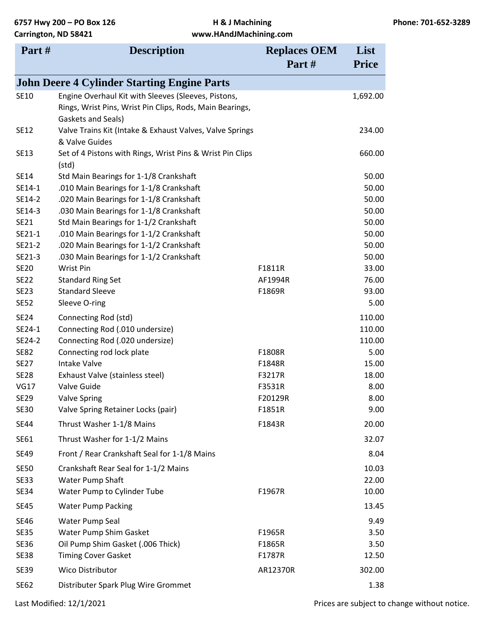| Part#       | <b>Description</b>                                                             | <b>Replaces OEM</b> | List         |
|-------------|--------------------------------------------------------------------------------|---------------------|--------------|
|             |                                                                                | Part#               | <b>Price</b> |
|             | <b>John Deere 4 Cylinder Starting Engine Parts</b>                             |                     |              |
| SE10        | Engine Overhaul Kit with Sleeves (Sleeves, Pistons,                            |                     | 1,692.00     |
|             | Rings, Wrist Pins, Wrist Pin Clips, Rods, Main Bearings,<br>Gaskets and Seals) |                     |              |
| <b>SE12</b> | Valve Trains Kit (Intake & Exhaust Valves, Valve Springs<br>& Valve Guides     |                     | 234.00       |
| <b>SE13</b> | Set of 4 Pistons with Rings, Wrist Pins & Wrist Pin Clips<br>(std)             |                     | 660.00       |
| <b>SE14</b> | Std Main Bearings for 1-1/8 Crankshaft                                         |                     | 50.00        |
| SE14-1      | .010 Main Bearings for 1-1/8 Crankshaft                                        |                     | 50.00        |
| SE14-2      | .020 Main Bearings for 1-1/8 Crankshaft                                        |                     | 50.00        |
| SE14-3      | .030 Main Bearings for 1-1/8 Crankshaft                                        |                     | 50.00        |
| <b>SE21</b> | Std Main Bearings for 1-1/2 Crankshaft                                         |                     | 50.00        |
| SE21-1      | .010 Main Bearings for 1-1/2 Crankshaft                                        |                     | 50.00        |
| SE21-2      | .020 Main Bearings for 1-1/2 Crankshaft                                        |                     | 50.00        |
| SE21-3      | .030 Main Bearings for 1-1/2 Crankshaft                                        |                     | 50.00        |
| <b>SE20</b> | Wrist Pin                                                                      | F1811R              | 33.00        |
| <b>SE22</b> | <b>Standard Ring Set</b>                                                       | AF1994R             | 76.00        |
| <b>SE23</b> | <b>Standard Sleeve</b>                                                         | F1869R              | 93.00        |
| <b>SE52</b> | Sleeve O-ring                                                                  |                     | 5.00         |
| <b>SE24</b> | Connecting Rod (std)                                                           |                     | 110.00       |
| SE24-1      | Connecting Rod (.010 undersize)                                                |                     | 110.00       |
| SE24-2      | Connecting Rod (.020 undersize)                                                |                     | 110.00       |
| <b>SE82</b> | Connecting rod lock plate                                                      | F1808R              | 5.00         |
| <b>SE27</b> | <b>Intake Valve</b>                                                            | F1848R              | 15.00        |
| <b>SE28</b> | Exhaust Valve (stainless steel)                                                | F3217R              | 18.00        |
| <b>VG17</b> | Valve Guide                                                                    | F3531R              | 8.00         |
| <b>SE29</b> | <b>Valve Spring</b>                                                            | F20129R             | 8.00         |
| <b>SE30</b> | Valve Spring Retainer Locks (pair)                                             | F1851R              | 9.00         |
| <b>SE44</b> | Thrust Washer 1-1/8 Mains                                                      | F1843R              | 20.00        |
| SE61        | Thrust Washer for 1-1/2 Mains                                                  |                     | 32.07        |
| <b>SE49</b> | Front / Rear Crankshaft Seal for 1-1/8 Mains                                   |                     | 8.04         |
| <b>SE50</b> | Crankshaft Rear Seal for 1-1/2 Mains                                           |                     | 10.03        |
| <b>SE33</b> | <b>Water Pump Shaft</b>                                                        |                     | 22.00        |
| <b>SE34</b> | Water Pump to Cylinder Tube                                                    | F1967R              | 10.00        |
| <b>SE45</b> | <b>Water Pump Packing</b>                                                      |                     | 13.45        |
| <b>SE46</b> | Water Pump Seal                                                                |                     | 9.49         |
| <b>SE35</b> | Water Pump Shim Gasket                                                         | F1965R              | 3.50         |
| <b>SE36</b> | Oil Pump Shim Gasket (.006 Thick)                                              | F1865R              | 3.50         |
| <b>SE38</b> | <b>Timing Cover Gasket</b>                                                     | F1787R              | 12.50        |
| <b>SE39</b> | Wico Distributor                                                               | AR12370R            | 302.00       |
| <b>SE62</b> | Distributer Spark Plug Wire Grommet                                            |                     | 1.38         |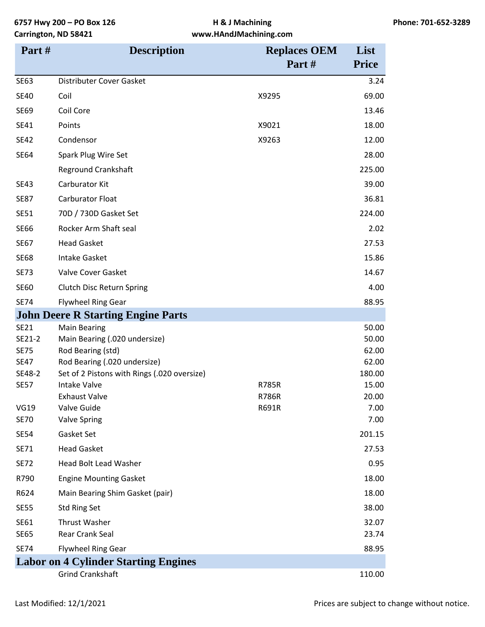| Part#                 | <b>Description</b>                                                          | <b>Replaces OEM</b> | List           |
|-----------------------|-----------------------------------------------------------------------------|---------------------|----------------|
|                       |                                                                             | Part#               | <b>Price</b>   |
| <b>SE63</b>           | Distributer Cover Gasket                                                    |                     | 3.24           |
| <b>SE40</b>           | Coil                                                                        | X9295               | 69.00          |
| <b>SE69</b>           | Coil Core                                                                   |                     | 13.46          |
| SE41                  | Points                                                                      | X9021               | 18.00          |
| <b>SE42</b>           | Condensor                                                                   | X9263               | 12.00          |
| <b>SE64</b>           | Spark Plug Wire Set                                                         |                     | 28.00          |
|                       | <b>Reground Crankshaft</b>                                                  |                     | 225.00         |
| <b>SE43</b>           | Carburator Kit                                                              |                     | 39.00          |
| <b>SE87</b>           | <b>Carburator Float</b>                                                     |                     | 36.81          |
| <b>SE51</b>           | 70D / 730D Gasket Set                                                       |                     | 224.00         |
| <b>SE66</b>           | Rocker Arm Shaft seal                                                       |                     | 2.02           |
| <b>SE67</b>           | <b>Head Gasket</b>                                                          |                     | 27.53          |
| <b>SE68</b>           | <b>Intake Gasket</b>                                                        |                     | 15.86          |
| <b>SE73</b>           | Valve Cover Gasket                                                          |                     | 14.67          |
| <b>SE60</b>           | Clutch Disc Return Spring                                                   |                     | 4.00           |
| <b>SE74</b>           | <b>Flywheel Ring Gear</b>                                                   |                     | 88.95          |
|                       | <b>John Deere R Starting Engine Parts</b>                                   |                     |                |
| <b>SE21</b>           | <b>Main Bearing</b>                                                         |                     | 50.00          |
| SE21-2                | Main Bearing (.020 undersize)                                               |                     | 50.00          |
| <b>SE75</b>           | Rod Bearing (std)                                                           |                     | 62.00<br>62.00 |
| <b>SE47</b><br>SE48-2 | Rod Bearing (.020 undersize)<br>Set of 2 Pistons with Rings (.020 oversize) |                     | 180.00         |
| <b>SE57</b>           | <b>Intake Valve</b>                                                         | <b>R785R</b>        | 15.00          |
|                       | <b>Exhaust Valve</b>                                                        | <b>R786R</b>        | 20.00          |
| <b>VG19</b>           | Valve Guide                                                                 | R691R               | 7.00           |
| <b>SE70</b>           | <b>Valve Spring</b>                                                         |                     | 7.00           |
| <b>SE54</b>           | Gasket Set                                                                  |                     | 201.15         |
| SE71                  | <b>Head Gasket</b>                                                          |                     | 27.53          |
| <b>SE72</b>           | <b>Head Bolt Lead Washer</b>                                                |                     | 0.95           |
| R790                  | <b>Engine Mounting Gasket</b>                                               |                     | 18.00          |
| R624                  | Main Bearing Shim Gasket (pair)                                             |                     | 18.00          |
| <b>SE55</b>           | <b>Std Ring Set</b>                                                         |                     | 38.00          |
| SE61                  | <b>Thrust Washer</b>                                                        |                     | 32.07          |
| <b>SE65</b>           | Rear Crank Seal                                                             |                     | 23.74          |
| <b>SE74</b>           | <b>Flywheel Ring Gear</b>                                                   |                     | 88.95          |
|                       | <b>Labor on 4 Cylinder Starting Engines</b>                                 |                     |                |
|                       | <b>Grind Crankshaft</b>                                                     |                     | 110.00         |